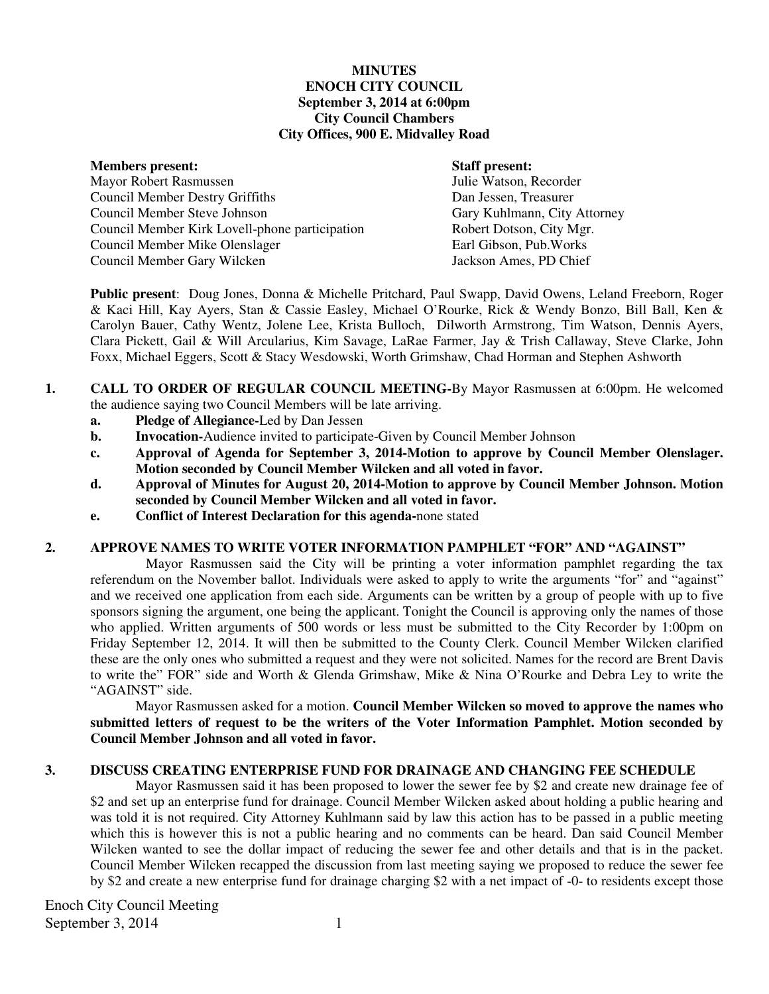# **MINUTES ENOCH CITY COUNCIL September 3, 2014 at 6:00pm City Council Chambers City Offices, 900 E. Midvalley Road**

**Members present: Staff present:**  Mayor Robert Rasmussen Julie Watson, Recorder Council Member Destry Griffiths Dan Jessen, Treasurer Council Member Steve Johnson Gary Kuhlmann, City Attorney Council Member Kirk Lovell-phone participation Robert Dotson, City Mgr. Council Member Mike Olenslager Earl Gibson, Pub.Works Council Member Gary Wilcken Jackson Ames, PD Chief

**Public present**: Doug Jones, Donna & Michelle Pritchard, Paul Swapp, David Owens, Leland Freeborn, Roger & Kaci Hill, Kay Ayers, Stan & Cassie Easley, Michael O'Rourke, Rick & Wendy Bonzo, Bill Ball, Ken & Carolyn Bauer, Cathy Wentz, Jolene Lee, Krista Bulloch, Dilworth Armstrong, Tim Watson, Dennis Ayers, Clara Pickett, Gail & Will Arcularius, Kim Savage, LaRae Farmer, Jay & Trish Callaway, Steve Clarke, John Foxx, Michael Eggers, Scott & Stacy Wesdowski, Worth Grimshaw, Chad Horman and Stephen Ashworth

- **1. CALL TO ORDER OF REGULAR COUNCIL MEETING-By Mayor Rasmussen at 6:00pm. He welcomed** the audience saying two Council Members will be late arriving.
	- **a. Pledge of Allegiance-**Led by Dan Jessen
	- **b.** Invocation-Audience invited to participate-Given by Council Member Johnson
	- **c. Approval of Agenda for September 3, 2014-Motion to approve by Council Member Olenslager. Motion seconded by Council Member Wilcken and all voted in favor.**
	- **d. Approval of Minutes for August 20, 2014-Motion to approve by Council Member Johnson. Motion seconded by Council Member Wilcken and all voted in favor.**
	- **e. Conflict of Interest Declaration for this agenda-**none stated

## **2. APPROVE NAMES TO WRITE VOTER INFORMATION PAMPHLET "FOR" AND "AGAINST"**

 Mayor Rasmussen said the City will be printing a voter information pamphlet regarding the tax referendum on the November ballot. Individuals were asked to apply to write the arguments "for" and "against" and we received one application from each side. Arguments can be written by a group of people with up to five sponsors signing the argument, one being the applicant. Tonight the Council is approving only the names of those who applied. Written arguments of 500 words or less must be submitted to the City Recorder by 1:00pm on Friday September 12, 2014. It will then be submitted to the County Clerk. Council Member Wilcken clarified these are the only ones who submitted a request and they were not solicited. Names for the record are Brent Davis to write the" FOR" side and Worth & Glenda Grimshaw, Mike & Nina O'Rourke and Debra Ley to write the "AGAINST" side.

Mayor Rasmussen asked for a motion. **Council Member Wilcken so moved to approve the names who submitted letters of request to be the writers of the Voter Information Pamphlet. Motion seconded by Council Member Johnson and all voted in favor.** 

## **3. DISCUSS CREATING ENTERPRISE FUND FOR DRAINAGE AND CHANGING FEE SCHEDULE**

Mayor Rasmussen said it has been proposed to lower the sewer fee by \$2 and create new drainage fee of \$2 and set up an enterprise fund for drainage. Council Member Wilcken asked about holding a public hearing and was told it is not required. City Attorney Kuhlmann said by law this action has to be passed in a public meeting which this is however this is not a public hearing and no comments can be heard. Dan said Council Member Wilcken wanted to see the dollar impact of reducing the sewer fee and other details and that is in the packet. Council Member Wilcken recapped the discussion from last meeting saying we proposed to reduce the sewer fee by \$2 and create a new enterprise fund for drainage charging \$2 with a net impact of -0- to residents except those

Enoch City Council Meeting September 3, 2014 1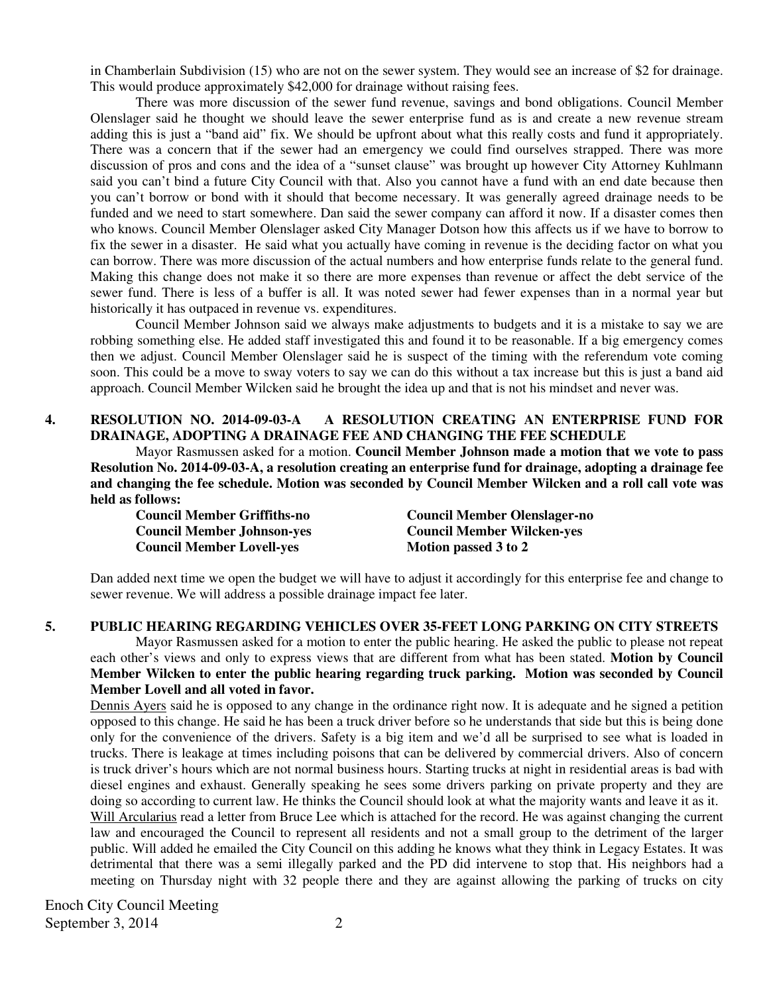in Chamberlain Subdivision (15) who are not on the sewer system. They would see an increase of \$2 for drainage. This would produce approximately \$42,000 for drainage without raising fees.

There was more discussion of the sewer fund revenue, savings and bond obligations. Council Member Olenslager said he thought we should leave the sewer enterprise fund as is and create a new revenue stream adding this is just a "band aid" fix. We should be upfront about what this really costs and fund it appropriately. There was a concern that if the sewer had an emergency we could find ourselves strapped. There was more discussion of pros and cons and the idea of a "sunset clause" was brought up however City Attorney Kuhlmann said you can't bind a future City Council with that. Also you cannot have a fund with an end date because then you can't borrow or bond with it should that become necessary. It was generally agreed drainage needs to be funded and we need to start somewhere. Dan said the sewer company can afford it now. If a disaster comes then who knows. Council Member Olenslager asked City Manager Dotson how this affects us if we have to borrow to fix the sewer in a disaster. He said what you actually have coming in revenue is the deciding factor on what you can borrow. There was more discussion of the actual numbers and how enterprise funds relate to the general fund. Making this change does not make it so there are more expenses than revenue or affect the debt service of the sewer fund. There is less of a buffer is all. It was noted sewer had fewer expenses than in a normal year but historically it has outpaced in revenue vs. expenditures.

Council Member Johnson said we always make adjustments to budgets and it is a mistake to say we are robbing something else. He added staff investigated this and found it to be reasonable. If a big emergency comes then we adjust. Council Member Olenslager said he is suspect of the timing with the referendum vote coming soon. This could be a move to sway voters to say we can do this without a tax increase but this is just a band aid approach. Council Member Wilcken said he brought the idea up and that is not his mindset and never was.

# **4. RESOLUTION NO. 2014-09-03-A A RESOLUTION CREATING AN ENTERPRISE FUND FOR DRAINAGE, ADOPTING A DRAINAGE FEE AND CHANGING THE FEE SCHEDULE**

Mayor Rasmussen asked for a motion. **Council Member Johnson made a motion that we vote to pass Resolution No. 2014-09-03-A, a resolution creating an enterprise fund for drainage, adopting a drainage fee and changing the fee schedule. Motion was seconded by Council Member Wilcken and a roll call vote was held as follows:** 

**Council Member Lovell-yes** Motion passed 3 to 2

**Council Member Griffiths-no Council Member Olenslager-no Council Member Johnson-yes Council Member Wilcken-yes** 

Dan added next time we open the budget we will have to adjust it accordingly for this enterprise fee and change to sewer revenue. We will address a possible drainage impact fee later.

#### **5. PUBLIC HEARING REGARDING VEHICLES OVER 35-FEET LONG PARKING ON CITY STREETS**

Mayor Rasmussen asked for a motion to enter the public hearing. He asked the public to please not repeat each other's views and only to express views that are different from what has been stated. **Motion by Council Member Wilcken to enter the public hearing regarding truck parking. Motion was seconded by Council Member Lovell and all voted in favor.** 

Dennis Ayers said he is opposed to any change in the ordinance right now. It is adequate and he signed a petition opposed to this change. He said he has been a truck driver before so he understands that side but this is being done only for the convenience of the drivers. Safety is a big item and we'd all be surprised to see what is loaded in trucks. There is leakage at times including poisons that can be delivered by commercial drivers. Also of concern is truck driver's hours which are not normal business hours. Starting trucks at night in residential areas is bad with diesel engines and exhaust. Generally speaking he sees some drivers parking on private property and they are doing so according to current law. He thinks the Council should look at what the majority wants and leave it as it. Will Arcularius read a letter from Bruce Lee which is attached for the record. He was against changing the current law and encouraged the Council to represent all residents and not a small group to the detriment of the larger public. Will added he emailed the City Council on this adding he knows what they think in Legacy Estates. It was detrimental that there was a semi illegally parked and the PD did intervene to stop that. His neighbors had a meeting on Thursday night with 32 people there and they are against allowing the parking of trucks on city

Enoch City Council Meeting September 3, 2014 2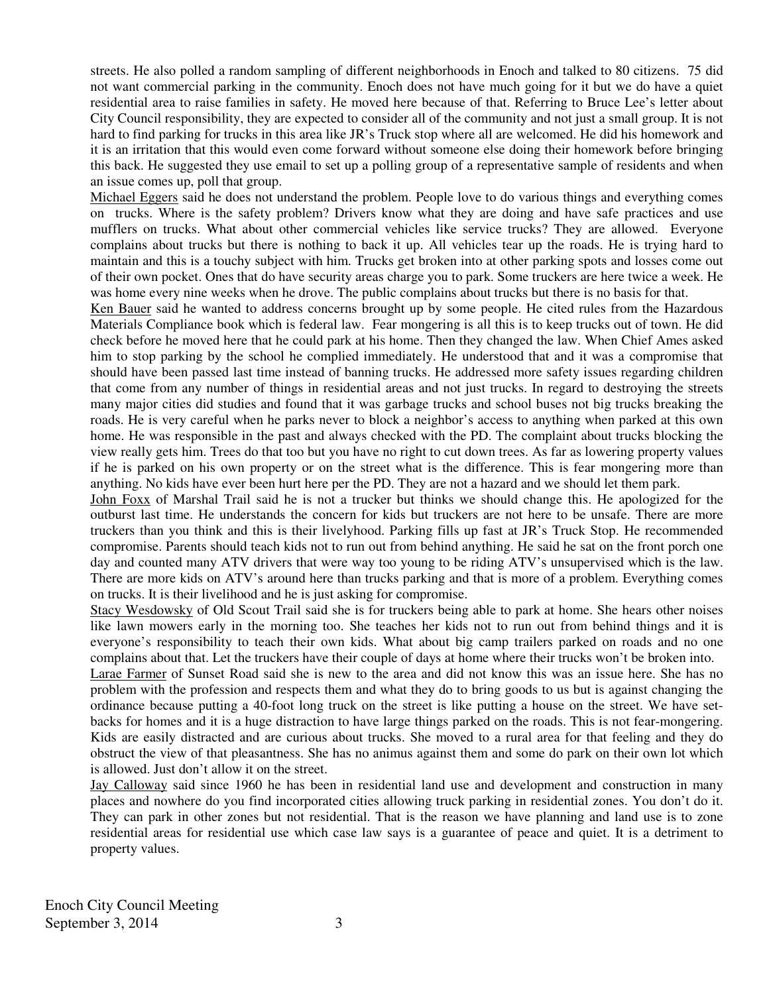streets. He also polled a random sampling of different neighborhoods in Enoch and talked to 80 citizens. 75 did not want commercial parking in the community. Enoch does not have much going for it but we do have a quiet residential area to raise families in safety. He moved here because of that. Referring to Bruce Lee's letter about City Council responsibility, they are expected to consider all of the community and not just a small group. It is not hard to find parking for trucks in this area like JR's Truck stop where all are welcomed. He did his homework and it is an irritation that this would even come forward without someone else doing their homework before bringing this back. He suggested they use email to set up a polling group of a representative sample of residents and when an issue comes up, poll that group.

Michael Eggers said he does not understand the problem. People love to do various things and everything comes on trucks. Where is the safety problem? Drivers know what they are doing and have safe practices and use mufflers on trucks. What about other commercial vehicles like service trucks? They are allowed. Everyone complains about trucks but there is nothing to back it up. All vehicles tear up the roads. He is trying hard to maintain and this is a touchy subject with him. Trucks get broken into at other parking spots and losses come out of their own pocket. Ones that do have security areas charge you to park. Some truckers are here twice a week. He was home every nine weeks when he drove. The public complains about trucks but there is no basis for that.

Ken Bauer said he wanted to address concerns brought up by some people. He cited rules from the Hazardous Materials Compliance book which is federal law. Fear mongering is all this is to keep trucks out of town. He did check before he moved here that he could park at his home. Then they changed the law. When Chief Ames asked him to stop parking by the school he complied immediately. He understood that and it was a compromise that should have been passed last time instead of banning trucks. He addressed more safety issues regarding children that come from any number of things in residential areas and not just trucks. In regard to destroying the streets many major cities did studies and found that it was garbage trucks and school buses not big trucks breaking the roads. He is very careful when he parks never to block a neighbor's access to anything when parked at this own home. He was responsible in the past and always checked with the PD. The complaint about trucks blocking the view really gets him. Trees do that too but you have no right to cut down trees. As far as lowering property values if he is parked on his own property or on the street what is the difference. This is fear mongering more than anything. No kids have ever been hurt here per the PD. They are not a hazard and we should let them park.

John Foxx of Marshal Trail said he is not a trucker but thinks we should change this. He apologized for the outburst last time. He understands the concern for kids but truckers are not here to be unsafe. There are more truckers than you think and this is their livelyhood. Parking fills up fast at JR's Truck Stop. He recommended compromise. Parents should teach kids not to run out from behind anything. He said he sat on the front porch one day and counted many ATV drivers that were way too young to be riding ATV's unsupervised which is the law. There are more kids on ATV's around here than trucks parking and that is more of a problem. Everything comes on trucks. It is their livelihood and he is just asking for compromise.

Stacy Wesdowsky of Old Scout Trail said she is for truckers being able to park at home. She hears other noises like lawn mowers early in the morning too. She teaches her kids not to run out from behind things and it is everyone's responsibility to teach their own kids. What about big camp trailers parked on roads and no one complains about that. Let the truckers have their couple of days at home where their trucks won't be broken into. Larae Farmer of Sunset Road said she is new to the area and did not know this was an issue here. She has no problem with the profession and respects them and what they do to bring goods to us but is against changing the ordinance because putting a 40-foot long truck on the street is like putting a house on the street. We have setbacks for homes and it is a huge distraction to have large things parked on the roads. This is not fear-mongering. Kids are easily distracted and are curious about trucks. She moved to a rural area for that feeling and they do obstruct the view of that pleasantness. She has no animus against them and some do park on their own lot which is allowed. Just don't allow it on the street.

Jay Calloway said since 1960 he has been in residential land use and development and construction in many places and nowhere do you find incorporated cities allowing truck parking in residential zones. You don't do it. They can park in other zones but not residential. That is the reason we have planning and land use is to zone residential areas for residential use which case law says is a guarantee of peace and quiet. It is a detriment to property values.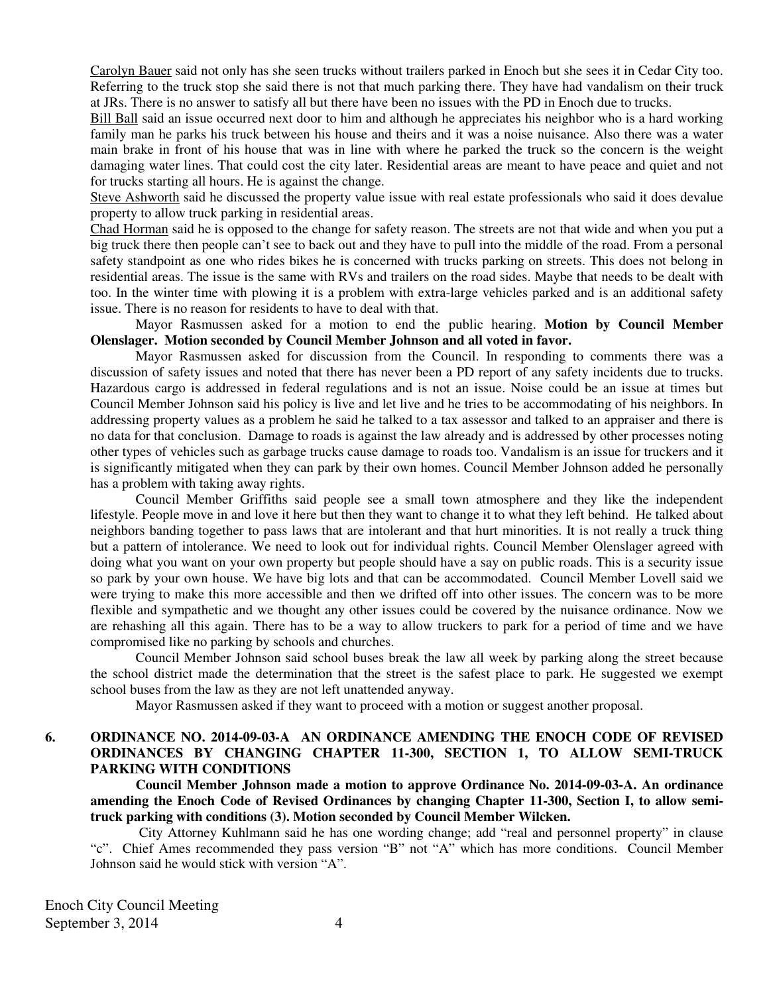Carolyn Bauer said not only has she seen trucks without trailers parked in Enoch but she sees it in Cedar City too. Referring to the truck stop she said there is not that much parking there. They have had vandalism on their truck at JRs. There is no answer to satisfy all but there have been no issues with the PD in Enoch due to trucks.

Bill Ball said an issue occurred next door to him and although he appreciates his neighbor who is a hard working family man he parks his truck between his house and theirs and it was a noise nuisance. Also there was a water main brake in front of his house that was in line with where he parked the truck so the concern is the weight damaging water lines. That could cost the city later. Residential areas are meant to have peace and quiet and not for trucks starting all hours. He is against the change.

Steve Ashworth said he discussed the property value issue with real estate professionals who said it does devalue property to allow truck parking in residential areas.

Chad Horman said he is opposed to the change for safety reason. The streets are not that wide and when you put a big truck there then people can't see to back out and they have to pull into the middle of the road. From a personal safety standpoint as one who rides bikes he is concerned with trucks parking on streets. This does not belong in residential areas. The issue is the same with RVs and trailers on the road sides. Maybe that needs to be dealt with too. In the winter time with plowing it is a problem with extra-large vehicles parked and is an additional safety issue. There is no reason for residents to have to deal with that.

Mayor Rasmussen asked for a motion to end the public hearing. **Motion by Council Member Olenslager. Motion seconded by Council Member Johnson and all voted in favor.** 

Mayor Rasmussen asked for discussion from the Council. In responding to comments there was a discussion of safety issues and noted that there has never been a PD report of any safety incidents due to trucks. Hazardous cargo is addressed in federal regulations and is not an issue. Noise could be an issue at times but Council Member Johnson said his policy is live and let live and he tries to be accommodating of his neighbors. In addressing property values as a problem he said he talked to a tax assessor and talked to an appraiser and there is no data for that conclusion. Damage to roads is against the law already and is addressed by other processes noting other types of vehicles such as garbage trucks cause damage to roads too. Vandalism is an issue for truckers and it is significantly mitigated when they can park by their own homes. Council Member Johnson added he personally has a problem with taking away rights.

Council Member Griffiths said people see a small town atmosphere and they like the independent lifestyle. People move in and love it here but then they want to change it to what they left behind. He talked about neighbors banding together to pass laws that are intolerant and that hurt minorities. It is not really a truck thing but a pattern of intolerance. We need to look out for individual rights. Council Member Olenslager agreed with doing what you want on your own property but people should have a say on public roads. This is a security issue so park by your own house. We have big lots and that can be accommodated. Council Member Lovell said we were trying to make this more accessible and then we drifted off into other issues. The concern was to be more flexible and sympathetic and we thought any other issues could be covered by the nuisance ordinance. Now we are rehashing all this again. There has to be a way to allow truckers to park for a period of time and we have compromised like no parking by schools and churches.

Council Member Johnson said school buses break the law all week by parking along the street because the school district made the determination that the street is the safest place to park. He suggested we exempt school buses from the law as they are not left unattended anyway.

Mayor Rasmussen asked if they want to proceed with a motion or suggest another proposal.

# **6. ORDINANCE NO. 2014-09-03-A AN ORDINANCE AMENDING THE ENOCH CODE OF REVISED ORDINANCES BY CHANGING CHAPTER 11-300, SECTION 1, TO ALLOW SEMI-TRUCK PARKING WITH CONDITIONS**

**Council Member Johnson made a motion to approve Ordinance No. 2014-09-03-A. An ordinance amending the Enoch Code of Revised Ordinances by changing Chapter 11-300, Section I, to allow semitruck parking with conditions (3). Motion seconded by Council Member Wilcken.** 

 City Attorney Kuhlmann said he has one wording change; add "real and personnel property" in clause "c". Chief Ames recommended they pass version "B" not "A" which has more conditions. Council Member Johnson said he would stick with version "A".

Enoch City Council Meeting September 3, 2014  $\overline{4}$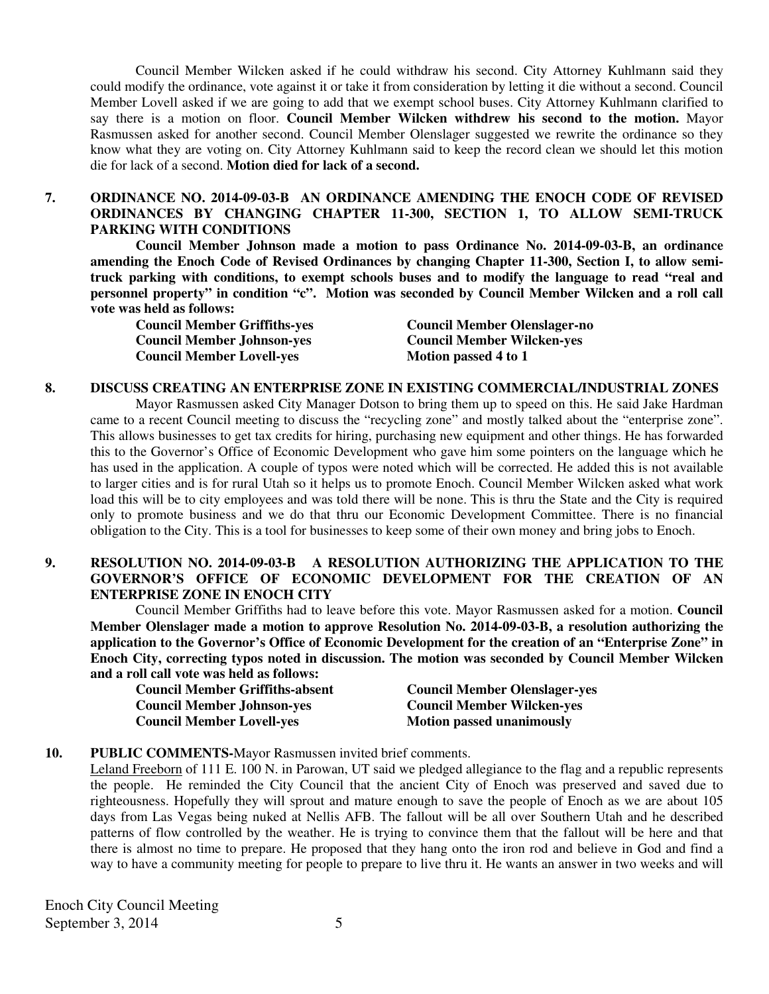Council Member Wilcken asked if he could withdraw his second. City Attorney Kuhlmann said they could modify the ordinance, vote against it or take it from consideration by letting it die without a second. Council Member Lovell asked if we are going to add that we exempt school buses. City Attorney Kuhlmann clarified to say there is a motion on floor. **Council Member Wilcken withdrew his second to the motion.** Mayor Rasmussen asked for another second. Council Member Olenslager suggested we rewrite the ordinance so they know what they are voting on. City Attorney Kuhlmann said to keep the record clean we should let this motion die for lack of a second. **Motion died for lack of a second.** 

# **7. ORDINANCE NO. 2014-09-03-B AN ORDINANCE AMENDING THE ENOCH CODE OF REVISED ORDINANCES BY CHANGING CHAPTER 11-300, SECTION 1, TO ALLOW SEMI-TRUCK PARKING WITH CONDITIONS**

**Council Member Johnson made a motion to pass Ordinance No. 2014-09-03-B, an ordinance amending the Enoch Code of Revised Ordinances by changing Chapter 11-300, Section I, to allow semitruck parking with conditions, to exempt schools buses and to modify the language to read "real and personnel property" in condition "c". Motion was seconded by Council Member Wilcken and a roll call vote was held as follows:** 

| <b>Council Member Griffiths-yes</b> | <b>Council Member Olenslager-no</b> |
|-------------------------------------|-------------------------------------|
| <b>Council Member Johnson-yes</b>   | <b>Council Member Wilcken-yes</b>   |
| <b>Council Member Lovell-yes</b>    | Motion passed 4 to 1                |

## **8. DISCUSS CREATING AN ENTERPRISE ZONE IN EXISTING COMMERCIAL/INDUSTRIAL ZONES**

Mayor Rasmussen asked City Manager Dotson to bring them up to speed on this. He said Jake Hardman came to a recent Council meeting to discuss the "recycling zone" and mostly talked about the "enterprise zone". This allows businesses to get tax credits for hiring, purchasing new equipment and other things. He has forwarded this to the Governor's Office of Economic Development who gave him some pointers on the language which he has used in the application. A couple of typos were noted which will be corrected. He added this is not available to larger cities and is for rural Utah so it helps us to promote Enoch. Council Member Wilcken asked what work load this will be to city employees and was told there will be none. This is thru the State and the City is required only to promote business and we do that thru our Economic Development Committee. There is no financial obligation to the City. This is a tool for businesses to keep some of their own money and bring jobs to Enoch.

## **9. RESOLUTION NO. 2014-09-03-B A RESOLUTION AUTHORIZING THE APPLICATION TO THE GOVERNOR'S OFFICE OF ECONOMIC DEVELOPMENT FOR THE CREATION OF AN ENTERPRISE ZONE IN ENOCH CITY**

Council Member Griffiths had to leave before this vote. Mayor Rasmussen asked for a motion. **Council Member Olenslager made a motion to approve Resolution No. 2014-09-03-B, a resolution authorizing the application to the Governor's Office of Economic Development for the creation of an "Enterprise Zone" in Enoch City, correcting typos noted in discussion. The motion was seconded by Council Member Wilcken and a roll call vote was held as follows:** 

**Council Member Griffiths-absent Council Member Olenslager-yes Council Member Johnson-yes Council Member Wilcken-yes Council Member Lovell-yes** Motion passed unanimously

# **10. PUBLIC COMMENTS-**Mayor Rasmussen invited brief comments.

Leland Freeborn of 111 E. 100 N. in Parowan, UT said we pledged allegiance to the flag and a republic represents the people. He reminded the City Council that the ancient City of Enoch was preserved and saved due to righteousness. Hopefully they will sprout and mature enough to save the people of Enoch as we are about 105 days from Las Vegas being nuked at Nellis AFB. The fallout will be all over Southern Utah and he described patterns of flow controlled by the weather. He is trying to convince them that the fallout will be here and that there is almost no time to prepare. He proposed that they hang onto the iron rod and believe in God and find a way to have a community meeting for people to prepare to live thru it. He wants an answer in two weeks and will

Enoch City Council Meeting September 3, 2014 5